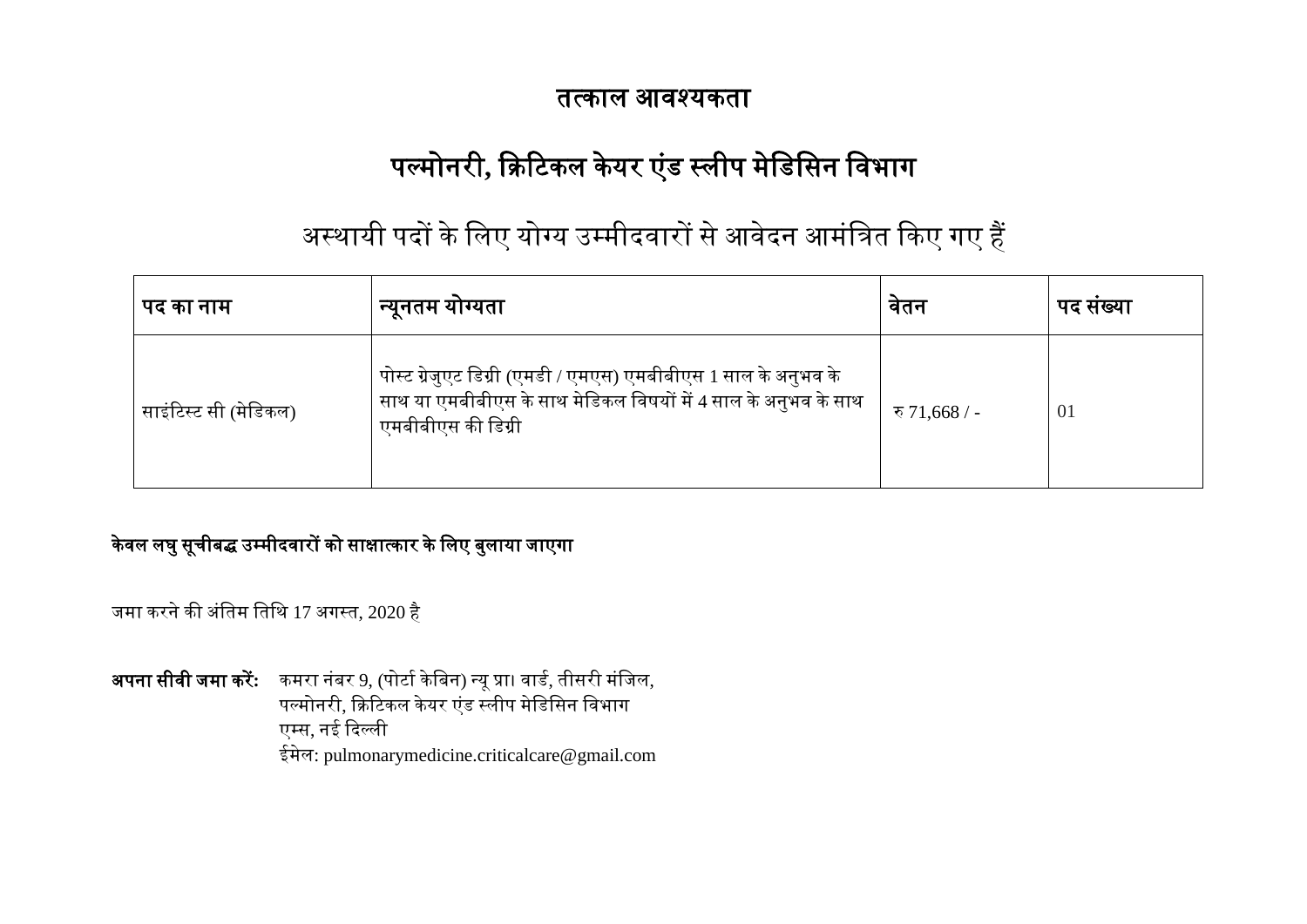## तत्काल आवश्यकता

# पल्मोनरी, क्रिटिकल केयर एंड स्लीप मेडिसिन विभाग

## अस्थायी पदों के लिए योग्य उम्मीदवारों से आवेदन आमंत्रित किए गए हैं

| पद का नाम             | न्यूनतम योग्यता                                                                                                                                        | वतन           | पद सख्या |
|-----------------------|--------------------------------------------------------------------------------------------------------------------------------------------------------|---------------|----------|
| साइंटिस्ट सी (मेडिकल) | पोस्ट ग्रेजुएट डिग्री (एमडी / एमएस) एमबीबीएस 1 साल के अनुभव के<br>साथ या एमबीबीएस के साथ मेडिकल विषयों में 4 साल के अनुभव के साथ<br>एमबीबीएस की डिग्री | रु 71,668 / - | 01       |

### केवल लघु सूचीबद्ध उम्मीदवारों को साक्षात्कार के लिए बुलाया जाएगा

जमा करने की अंतिम तिथि 17 अगस्त, 2020 है

<mark>अपना सीवी जमा करें:</mark> कमरा नंबर 9, (पोर्टा केबिन) न्यू प्रा। वार्ड, तीसरी मंजिल, पल्मोनरी, क्रिटिकल केयर एंड स्लीप मेडिसिन विभाग एम्स, नई दिल्ली ईमेल: pulmonarymedicine.criticalcare@gmail.com